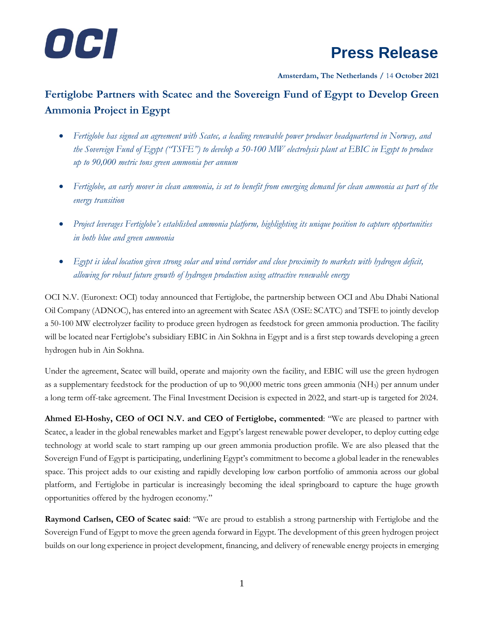

## **Press Release**

**Amsterdam, The Netherlands /** 14 **October 2021**

## **Fertiglobe Partners with Scatec and the Sovereign Fund of Egypt to Develop Green Ammonia Project in Egypt**

- Fertiglobe has signed an agreement with Scatec, a leading renewable power producer headquartered in Norway, and *the Sovereign Fund of Egypt ("TSFE") to develop a 50-100 MW electrolysis plant at EBIC in Egypt to produce up to 90,000 metric tons green ammonia per annum*
- *Fertiglobe, an early mover in clean ammonia, is set to benefit from emerging demand for clean ammonia as part of the energy transition*
- *Project leverages Fertiglobe's established ammonia platform, highlighting its unique position to capture opportunities in both blue and green ammonia*
- *Egypt is ideal location given strong solar and wind corridor and close proximity to markets with hydrogen deficit, allowing for robust future growth of hydrogen production using attractive renewable energy*

OCI N.V. (Euronext: OCI) today announced that Fertiglobe, the partnership between OCI and Abu Dhabi National Oil Company (ADNOC), has entered into an agreement with Scatec ASA (OSE: SCATC) and TSFE to jointly develop a 50-100 MW electrolyzer facility to produce green hydrogen as feedstock for green ammonia production. The facility will be located near Fertiglobe's subsidiary EBIC in Ain Sokhna in Egypt and is a first step towards developing a green hydrogen hub in Ain Sokhna.

Under the agreement, Scatec will build, operate and majority own the facility, and EBIC will use the green hydrogen as a supplementary feedstock for the production of up to 90,000 metric tons green ammonia (NH3) per annum under a long term off-take agreement. The Final Investment Decision is expected in 2022, and start-up is targeted for 2024.

**Ahmed El-Hoshy, CEO of OCI N.V. and CEO of Fertiglobe, commented**: "We are pleased to partner with Scatec, a leader in the global renewables market and Egypt's largest renewable power developer, to deploy cutting edge technology at world scale to start ramping up our green ammonia production profile. We are also pleased that the Sovereign Fund of Egypt is participating, underlining Egypt's commitment to become a global leader in the renewables space. This project adds to our existing and rapidly developing low carbon portfolio of ammonia across our global platform, and Fertiglobe in particular is increasingly becoming the ideal springboard to capture the huge growth opportunities offered by the hydrogen economy."

**Raymond Carlsen, CEO of Scatec said**: "We are proud to establish a strong partnership with Fertiglobe and the Sovereign Fund of Egypt to move the green agenda forward in Egypt. The development of this green hydrogen project builds on our long experience in project development, financing, and delivery of renewable energy projects in emerging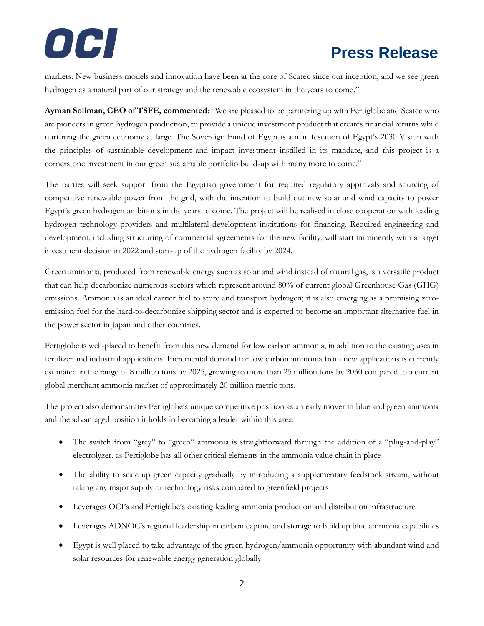

# **Press Release**

markets. New business models and innovation have been at the core of Scatec since our inception, and we see green hydrogen as a natural part of our strategy and the renewable ecosystem in the years to come."

**Ayman Soliman, CEO of TSFE, commented**: "We are pleased to be partnering up with Fertiglobe and Scatec who are pioneers in green hydrogen production, to provide a unique investment product that creates financial returns while nurturing the green economy at large. The Sovereign Fund of Egypt is a manifestation of Egypt's 2030 Vision with the principles of sustainable development and impact investment instilled in its mandate, and this project is a cornerstone investment in our green sustainable portfolio build-up with many more to come."

The parties will seek support from the Egyptian government for required regulatory approvals and sourcing of competitive renewable power from the grid, with the intention to build out new solar and wind capacity to power Egypt's green hydrogen ambitions in the years to come. The project will be realised in close cooperation with leading hydrogen technology providers and multilateral development institutions for financing. Required engineering and development, including structuring of commercial agreements for the new facility, will start imminently with a target investment decision in 2022 and start-up of the hydrogen facility by 2024.

Green ammonia, produced from renewable energy such as solar and wind instead of natural gas, is a versatile product that can help decarbonize numerous sectors which represent around 80% of current global Greenhouse Gas (GHG) emissions. Ammonia is an ideal carrier fuel to store and transport hydrogen; it is also emerging as a promising zeroemission fuel for the hard-to-decarbonize shipping sector and is expected to become an important alternative fuel in the power sector in Japan and other countries.

Fertiglobe is well-placed to benefit from this new demand for low carbon ammonia, in addition to the existing uses in fertilizer and industrial applications. Incremental demand for low carbon ammonia from new applications is currently estimated in the range of 8 million tons by 2025, growing to more than 25 million tons by 2030 compared to a current global merchant ammonia market of approximately 20 million metric tons.

The project also demonstrates Fertiglobe's unique competitive position as an early mover in blue and green ammonia and the advantaged position it holds in becoming a leader within this area:

- The switch from "grey" to "green" ammonia is straightforward through the addition of a "plug-and-play" electrolyzer, as Fertiglobe has all other critical elements in the ammonia value chain in place
- The ability to scale up green capacity gradually by introducing a supplementary feedstock stream, without taking any major supply or technology risks compared to greenfield projects
- Leverages OCI's and Fertiglobe's existing leading ammonia production and distribution infrastructure
- Leverages ADNOC's regional leadership in carbon capture and storage to build up blue ammonia capabilities
- Egypt is well placed to take advantage of the green hydrogen/ammonia opportunity with abundant wind and solar resources for renewable energy generation globally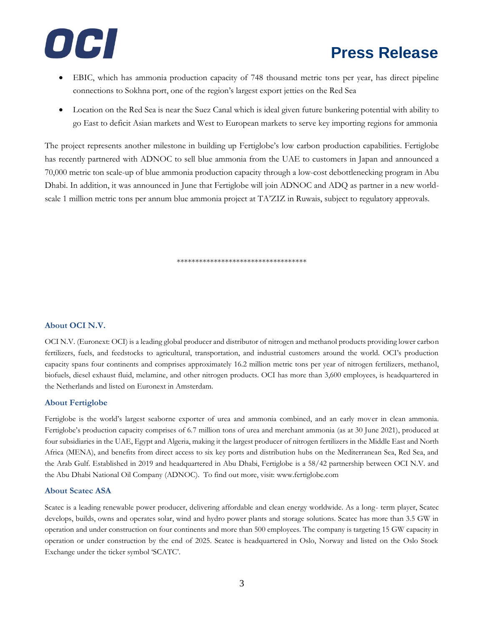

- EBIC, which has ammonia production capacity of 748 thousand metric tons per year, has direct pipeline connections to Sokhna port, one of the region's largest export jetties on the Red Sea
- Location on the Red Sea is near the Suez Canal which is ideal given future bunkering potential with ability to go East to deficit Asian markets and West to European markets to serve key importing regions for ammonia

The project represents another milestone in building up Fertiglobe's low carbon production capabilities. Fertiglobe has recently partnered with ADNOC to sell blue ammonia from the UAE to customers in Japan and announced a 70,000 metric ton scale-up of blue ammonia production capacity through a low-cost debottlenecking program in Abu Dhabi. In addition, it was announced in June that Fertiglobe will join ADNOC and ADQ as partner in a new worldscale 1 million metric tons per annum blue ammonia project at TA'ZIZ in Ruwais, subject to regulatory approvals.

\*\*\*\*\*\*\*\*\*\*\*\*\*\*\*\*\*\*\*\*\*\*\*\*\*\*\*\*\*\*\*\*\*\*\*

### **About OCI N.V.**

OCI N.V. (Euronext: OCI) is a leading global producer and distributor of nitrogen and methanol products providing lower carbon fertilizers, fuels, and feedstocks to agricultural, transportation, and industrial customers around the world. OCI's production capacity spans four continents and comprises approximately 16.2 million metric tons per year of nitrogen fertilizers, methanol, biofuels, diesel exhaust fluid, melamine, and other nitrogen products. OCI has more than 3,600 employees, is headquartered in the Netherlands and listed on Euronext in Amsterdam.

### **About Fertiglobe**

Fertiglobe is the world's largest seaborne exporter of urea and ammonia combined, and an early mover in clean ammonia. Fertiglobe's production capacity comprises of 6.7 million tons of urea and merchant ammonia (as at 30 June 2021), produced at four subsidiaries in the UAE, Egypt and Algeria, making it the largest producer of nitrogen fertilizers in the Middle East and North Africa (MENA), and benefits from direct access to six key ports and distribution hubs on the Mediterranean Sea, Red Sea, and the Arab Gulf. Established in 2019 and headquartered in Abu Dhabi, Fertiglobe is a 58/42 partnership between OCI N.V. and the Abu Dhabi National Oil Company (ADNOC). To find out more, visit: www.fertiglobe.com

### **About Scatec ASA**

Scatec is a leading renewable power producer, delivering affordable and clean energy worldwide. As a long- term player, Scatec develops, builds, owns and operates solar, wind and hydro power plants and storage solutions. Scatec has more than 3.5 GW in operation and under construction on four continents and more than 500 employees. The company is targeting 15 GW capacity in operation or under construction by the end of 2025. Scatec is headquartered in Oslo, Norway and listed on the Oslo Stock Exchange under the ticker symbol 'SCATC'.